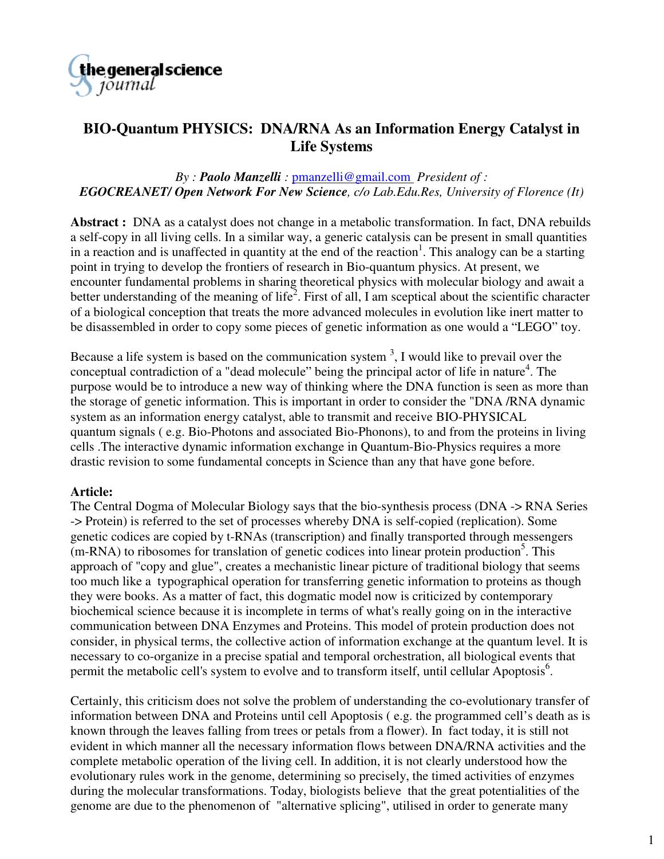

# **BIO-Quantum PHYSICS: DNA/RNA As an Information Energy Catalyst in Life Systems**

### *By : Paolo Manzelli :* pmanzelli@gmail.com *President of : EGOCREANET/ Open Network For New Science, c/o Lab.Edu.Res, University of Florence (It)*

**Abstract :** DNA as a catalyst does not change in a metabolic transformation. In fact, DNA rebuilds a self-copy in all living cells. In a similar way, a generic catalysis can be present in small quantities in a reaction and is unaffected in quantity at the end of the reaction<sup>1</sup>. This analogy can be a starting point in trying to develop the frontiers of research in Bio-quantum physics. At present, we encounter fundamental problems in sharing theoretical physics with molecular biology and await a better understanding of the meaning of life<sup>2</sup>. First of all, I am sceptical about the scientific character of a biological conception that treats the more advanced molecules in evolution like inert matter to be disassembled in order to copy some pieces of genetic information as one would a "LEGO" toy.

Because a life system is based on the communication system  $3$ , I would like to prevail over the conceptual contradiction of a "dead molecule" being the principal actor of life in nature<sup>4</sup>. The purpose would be to introduce a new way of thinking where the DNA function is seen as more than the storage of genetic information. This is important in order to consider the "DNA /RNA dynamic system as an information energy catalyst, able to transmit and receive BIO-PHYSICAL quantum signals ( e.g. Bio-Photons and associated Bio-Phonons), to and from the proteins in living cells .The interactive dynamic information exchange in Quantum-Bio-Physics requires a more drastic revision to some fundamental concepts in Science than any that have gone before.

#### **Article:**

The Central Dogma of Molecular Biology says that the bio-synthesis process (DNA -> RNA Series -> Protein) is referred to the set of processes whereby DNA is self-copied (replication). Some genetic codices are copied by t-RNAs (transcription) and finally transported through messengers (m-RNA) to ribosomes for translation of genetic codices into linear protein production<sup>5</sup>. This approach of "copy and glue", creates a mechanistic linear picture of traditional biology that seems too much like a typographical operation for transferring genetic information to proteins as though they were books. As a matter of fact, this dogmatic model now is criticized by contemporary biochemical science because it is incomplete in terms of what's really going on in the interactive communication between DNA Enzymes and Proteins. This model of protein production does not consider, in physical terms, the collective action of information exchange at the quantum level. It is necessary to co-organize in a precise spatial and temporal orchestration, all biological events that permit the metabolic cell's system to evolve and to transform itself, until cellular Apoptosis<sup>6</sup>.

Certainly, this criticism does not solve the problem of understanding the co-evolutionary transfer of information between DNA and Proteins until cell Apoptosis ( e.g. the programmed cell's death as is known through the leaves falling from trees or petals from a flower). In fact today, it is still not evident in which manner all the necessary information flows between DNA/RNA activities and the complete metabolic operation of the living cell. In addition, it is not clearly understood how the evolutionary rules work in the genome, determining so precisely, the timed activities of enzymes during the molecular transformations. Today, biologists believe that the great potentialities of the genome are due to the phenomenon of "alternative splicing", utilised in order to generate many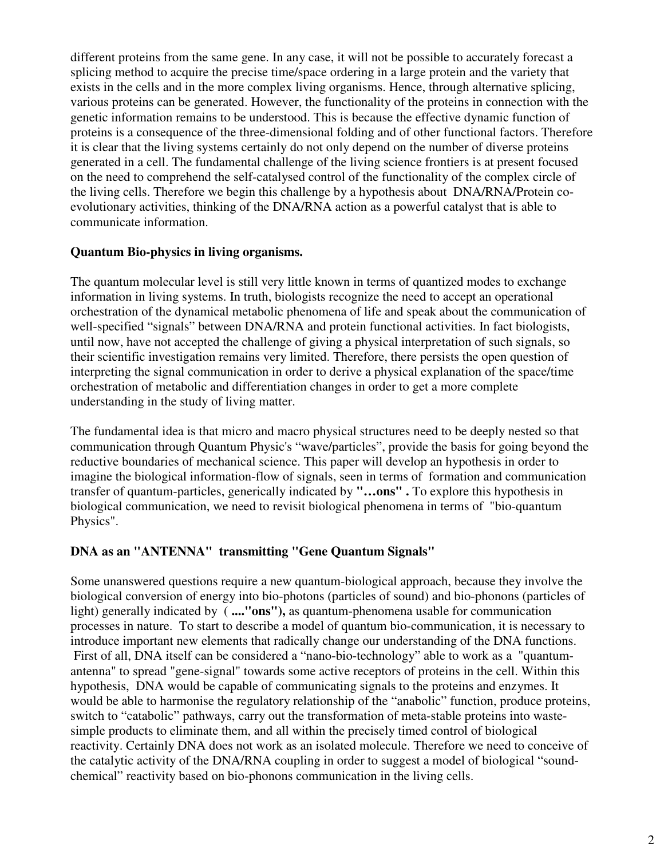different proteins from the same gene. In any case, it will not be possible to accurately forecast a splicing method to acquire the precise time/space ordering in a large protein and the variety that exists in the cells and in the more complex living organisms. Hence, through alternative splicing, various proteins can be generated. However, the functionality of the proteins in connection with the genetic information remains to be understood. This is because the effective dynamic function of proteins is a consequence of the three-dimensional folding and of other functional factors. Therefore it is clear that the living systems certainly do not only depend on the number of diverse proteins generated in a cell. The fundamental challenge of the living science frontiers is at present focused on the need to comprehend the self-catalysed control of the functionality of the complex circle of the living cells. Therefore we begin this challenge by a hypothesis about DNA/RNA/Protein coevolutionary activities, thinking of the DNA/RNA action as a powerful catalyst that is able to communicate information.

#### **Quantum Bio-physics in living organisms.**

The quantum molecular level is still very little known in terms of quantized modes to exchange information in living systems. In truth, biologists recognize the need to accept an operational orchestration of the dynamical metabolic phenomena of life and speak about the communication of well-specified "signals" between DNA/RNA and protein functional activities. In fact biologists, until now, have not accepted the challenge of giving a physical interpretation of such signals, so their scientific investigation remains very limited. Therefore, there persists the open question of interpreting the signal communication in order to derive a physical explanation of the space/time orchestration of metabolic and differentiation changes in order to get a more complete understanding in the study of living matter.

The fundamental idea is that micro and macro physical structures need to be deeply nested so that communication through Quantum Physic's "wave/particles", provide the basis for going beyond the reductive boundaries of mechanical science. This paper will develop an hypothesis in order to imagine the biological information-flow of signals, seen in terms of formation and communication transfer of quantum-particles, generically indicated by **"…ons" .** To explore this hypothesis in biological communication, we need to revisit biological phenomena in terms of "bio-quantum Physics".

### **DNA as an "ANTENNA" transmitting "Gene Quantum Signals"**

Some unanswered questions require a new quantum-biological approach, because they involve the biological conversion of energy into bio-photons (particles of sound) and bio-phonons (particles of light) generally indicated by ( **...."ons"),** as quantum-phenomena usable for communication processes in nature. To start to describe a model of quantum bio-communication, it is necessary to introduce important new elements that radically change our understanding of the DNA functions. First of all, DNA itself can be considered a "nano-bio-technology" able to work as a "quantumantenna" to spread "gene-signal" towards some active receptors of proteins in the cell. Within this hypothesis, DNA would be capable of communicating signals to the proteins and enzymes. It would be able to harmonise the regulatory relationship of the "anabolic" function, produce proteins, switch to "catabolic" pathways, carry out the transformation of meta-stable proteins into wastesimple products to eliminate them, and all within the precisely timed control of biological reactivity. Certainly DNA does not work as an isolated molecule. Therefore we need to conceive of the catalytic activity of the DNA/RNA coupling in order to suggest a model of biological "soundchemical" reactivity based on bio-phonons communication in the living cells.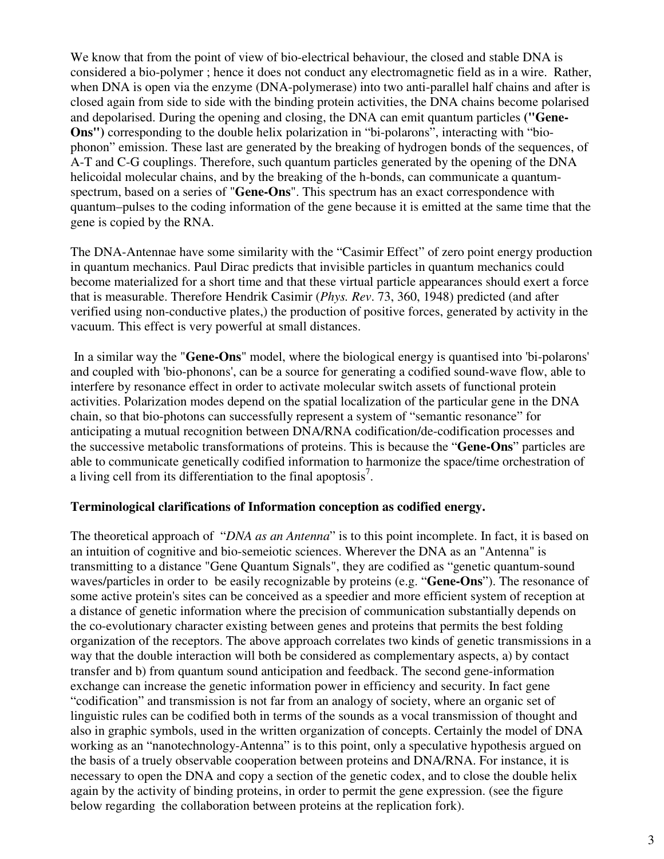We know that from the point of view of bio-electrical behaviour, the closed and stable DNA is considered a bio-polymer ; hence it does not conduct any electromagnetic field as in a wire. Rather, when DNA is open via the enzyme (DNA-polymerase) into two anti-parallel half chains and after is closed again from side to side with the binding protein activities, the DNA chains become polarised and depolarised. During the opening and closing, the DNA can emit quantum particles **("Gene-Ons")** corresponding to the double helix polarization in "bi-polarons", interacting with "biophonon" emission. These last are generated by the breaking of hydrogen bonds of the sequences, of A-T and C-G couplings. Therefore, such quantum particles generated by the opening of the DNA helicoidal molecular chains, and by the breaking of the h-bonds, can communicate a quantumspectrum, based on a series of "**Gene-Ons**". This spectrum has an exact correspondence with quantum–pulses to the coding information of the gene because it is emitted at the same time that the gene is copied by the RNA.

The DNA-Antennae have some similarity with the "Casimir Effect" of zero point energy production in quantum mechanics. Paul Dirac predicts that invisible particles in quantum mechanics could become materialized for a short time and that these virtual particle appearances should exert a force that is measurable. Therefore Hendrik Casimir (*Phys. Rev*. 73, 360, 1948) predicted (and after verified using non-conductive plates,) the production of positive forces, generated by activity in the vacuum. This effect is very powerful at small distances.

 In a similar way the "**Gene-Ons**" model, where the biological energy is quantised into 'bi-polarons' and coupled with 'bio-phonons', can be a source for generating a codified sound-wave flow, able to interfere by resonance effect in order to activate molecular switch assets of functional protein activities. Polarization modes depend on the spatial localization of the particular gene in the DNA chain, so that bio-photons can successfully represent a system of "semantic resonance" for anticipating a mutual recognition between DNA/RNA codification/de-codification processes and the successive metabolic transformations of proteins. This is because the "**Gene-Ons**" particles are able to communicate genetically codified information to harmonize the space/time orchestration of a living cell from its differentiation to the final apoptosis<sup>7</sup>.

#### **Terminological clarifications of Information conception as codified energy.**

The theoretical approach of "*DNA as an Antenna*" is to this point incomplete. In fact, it is based on an intuition of cognitive and bio-semeiotic sciences. Wherever the DNA as an "Antenna" is transmitting to a distance "Gene Quantum Signals", they are codified as "genetic quantum-sound waves/particles in order to be easily recognizable by proteins (e.g. "**Gene-Ons**"). The resonance of some active protein's sites can be conceived as a speedier and more efficient system of reception at a distance of genetic information where the precision of communication substantially depends on the co-evolutionary character existing between genes and proteins that permits the best folding organization of the receptors. The above approach correlates two kinds of genetic transmissions in a way that the double interaction will both be considered as complementary aspects, a) by contact transfer and b) from quantum sound anticipation and feedback. The second gene-information exchange can increase the genetic information power in efficiency and security. In fact gene "codification" and transmission is not far from an analogy of society, where an organic set of linguistic rules can be codified both in terms of the sounds as a vocal transmission of thought and also in graphic symbols, used in the written organization of concepts. Certainly the model of DNA working as an "nanotechnology-Antenna" is to this point, only a speculative hypothesis argued on the basis of a truely observable cooperation between proteins and DNA/RNA. For instance, it is necessary to open the DNA and copy a section of the genetic codex, and to close the double helix again by the activity of binding proteins, in order to permit the gene expression. (see the figure below regarding the collaboration between proteins at the replication fork).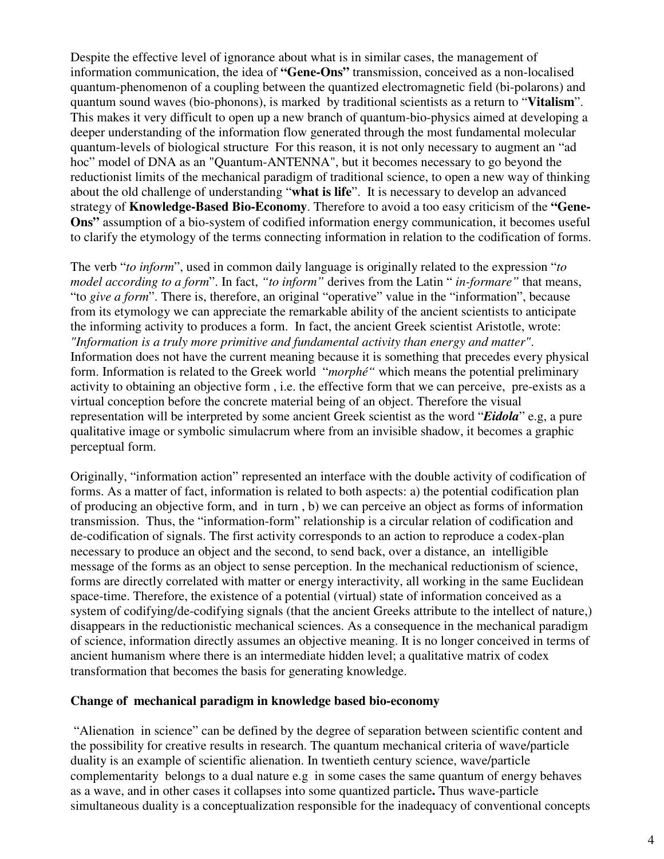Despite the effective level of ignorance about what is in similar cases, the management of information communication, the idea of **"Gene-Ons"** transmission, conceived as a non-localised quantum-phenomenon of a coupling between the quantized electromagnetic field (bi-polarons) and quantum sound waves (bio-phonons), is marked by traditional scientists as a return to "**Vitalism**". This makes it very difficult to open up a new branch of quantum-bio-physics aimed at developing a deeper understanding of the information flow generated through the most fundamental molecular quantum-levels of biological structure For this reason, it is not only necessary to augment an "ad hoc" model of DNA as an "Quantum-ANTENNA", but it becomes necessary to go beyond the reductionist limits of the mechanical paradigm of traditional science, to open a new way of thinking about the old challenge of understanding "**what is life**". It is necessary to develop an advanced strategy of **Knowledge-Based Bio-Economy**. Therefore to avoid a too easy criticism of the **"Gene-Ons"** assumption of a bio-system of codified information energy communication, it becomes useful to clarify the etymology of the terms connecting information in relation to the codification of forms.

The verb "*to inform*", used in common daily language is originally related to the expression "*to model according to a form*". In fact, *"to inform"* derives from the Latin " *in-formare"* that means, "to *give a form*". There is, therefore, an original "operative" value in the "information", because from its etymology we can appreciate the remarkable ability of the ancient scientists to anticipate the informing activity to produces a form. In fact, the ancient Greek scientist Aristotle, wrote: *"Information is a truly more primitive and fundamental activity than energy and matter"*. Information does not have the current meaning because it is something that precedes every physical form. Information is related to the Greek world "*morphé"* which means the potential preliminary activity to obtaining an objective form , i.e. the effective form that we can perceive, pre-exists as a virtual conception before the concrete material being of an object. Therefore the visual representation will be interpreted by some ancient Greek scientist as the word "*Eidola*" e.g, a pure qualitative image or symbolic simulacrum where from an invisible shadow, it becomes a graphic perceptual form.

Originally, "information action" represented an interface with the double activity of codification of forms. As a matter of fact, information is related to both aspects: a) the potential codification plan of producing an objective form, and in turn , b) we can perceive an object as forms of information transmission. Thus, the "information-form" relationship is a circular relation of codification and de-codification of signals. The first activity corresponds to an action to reproduce a codex-plan necessary to produce an object and the second, to send back, over a distance, an intelligible message of the forms as an object to sense perception. In the mechanical reductionism of science, forms are directly correlated with matter or energy interactivity, all working in the same Euclidean space-time. Therefore, the existence of a potential (virtual) state of information conceived as a system of codifying/de-codifying signals (that the ancient Greeks attribute to the intellect of nature,) disappears in the reductionistic mechanical sciences. As a consequence in the mechanical paradigm of science, information directly assumes an objective meaning. It is no longer conceived in terms of ancient humanism where there is an intermediate hidden level; a qualitative matrix of codex transformation that becomes the basis for generating knowledge.

#### **Change of mechanical paradigm in knowledge based bio-economy**

 "Alienation in science" can be defined by the degree of separation between scientific content and the possibility for creative results in research. The quantum mechanical criteria of wave/particle duality is an example of scientific alienation. In twentieth century science, wave/particle complementarity belongs to a dual nature e.g in some cases the same quantum of energy behaves as a wave, and in other cases it collapses into some quantized particle**.** Thus wave-particle simultaneous duality is a conceptualization responsible for the inadequacy of conventional concepts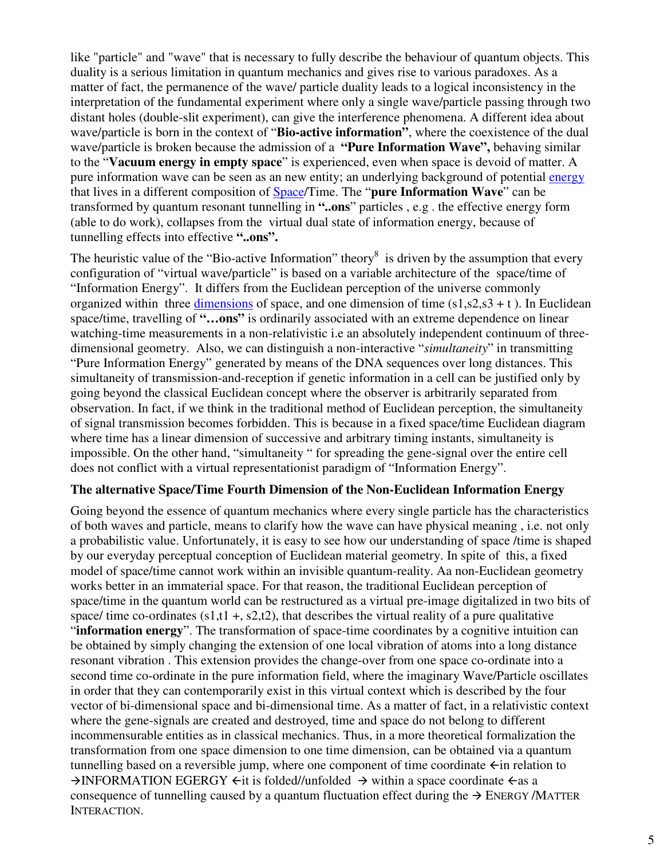like "particle" and "wave" that is necessary to fully describe the behaviour of quantum objects. This duality is a serious limitation in quantum mechanics and gives rise to various paradoxes. As a matter of fact, the permanence of the wave/ particle duality leads to a logical inconsistency in the interpretation of the fundamental experiment where only a single wave/particle passing through two distant holes (double-slit experiment), can give the interference phenomena. A different idea about wave/particle is born in the context of "**Bio-active information"**, where the coexistence of the dual wave/particle is broken because the admission of a **"Pure Information Wave",** behaving similar to the "**Vacuum energy in empty space**" is experienced, even when space is devoid of matter. A pure information wave can be seen as an new entity; an underlying background of potential energy that lives in a different composition of Space/Time. The "**pure Information Wave**" can be transformed by quantum resonant tunnelling in **"..ons**" particles , e.g . the effective energy form (able to do work), collapses from the virtual dual state of information energy, because of tunnelling effects into effective **"..ons".**

The heuristic value of the "Bio-active Information" theory  $\delta$  is driven by the assumption that every configuration of "virtual wave/particle" is based on a variable architecture of the space/time of "Information Energy". It differs from the Euclidean perception of the universe commonly organized within three dimensions of space, and one dimension of time  $(s1, s2, s3 + t)$ . In Euclidean space/time, travelling of **"…ons"** is ordinarily associated with an extreme dependence on linear watching-time measurements in a non-relativistic i.e an absolutely independent continuum of threedimensional geometry. Also, we can distinguish a non-interactive "*simultaneity*" in transmitting "Pure Information Energy" generated by means of the DNA sequences over long distances. This simultaneity of transmission-and-reception if genetic information in a cell can be justified only by going beyond the classical Euclidean concept where the observer is arbitrarily separated from observation. In fact, if we think in the traditional method of Euclidean perception, the simultaneity of signal transmission becomes forbidden. This is because in a fixed space/time Euclidean diagram where time has a linear dimension of successive and arbitrary timing instants, simultaneity is impossible. On the other hand, "simultaneity " for spreading the gene-signal over the entire cell does not conflict with a virtual representationist paradigm of "Information Energy".

#### **The alternative Space/Time Fourth Dimension of the Non-Euclidean Information Energy**

Going beyond the essence of quantum mechanics where every single particle has the characteristics of both waves and particle, means to clarify how the wave can have physical meaning , i.e. not only a probabilistic value. Unfortunately, it is easy to see how our understanding of space /time is shaped by our everyday perceptual conception of Euclidean material geometry. In spite of this, a fixed model of space/time cannot work within an invisible quantum-reality. Aa non-Euclidean geometry works better in an immaterial space. For that reason, the traditional Euclidean perception of space/time in the quantum world can be restructured as a virtual pre-image digitalized in two bits of space/ time co-ordinates  $(s1,t1 + s2,t2)$ , that describes the virtual reality of a pure qualitative "**information energy**". The transformation of space-time coordinates by a cognitive intuition can be obtained by simply changing the extension of one local vibration of atoms into a long distance resonant vibration . This extension provides the change-over from one space co-ordinate into a second time co-ordinate in the pure information field, where the imaginary Wave/Particle oscillates in order that they can contemporarily exist in this virtual context which is described by the four vector of bi-dimensional space and bi-dimensional time. As a matter of fact, in a relativistic context where the gene-signals are created and destroyed, time and space do not belong to different incommensurable entities as in classical mechanics. Thus, in a more theoretical formalization the transformation from one space dimension to one time dimension, can be obtained via a quantum tunnelling based on a reversible jump, where one component of time coordinate  $\leftarrow$  in relation to  $\rightarrow$  INFORMATION EGERGY  $\leftarrow$  it is folded//unfolded  $\rightarrow$  within a space coordinate  $\leftarrow$  as a consequence of tunnelling caused by a quantum fluctuation effect during the  $\rightarrow$  ENERGY/MATTER INTERACTION.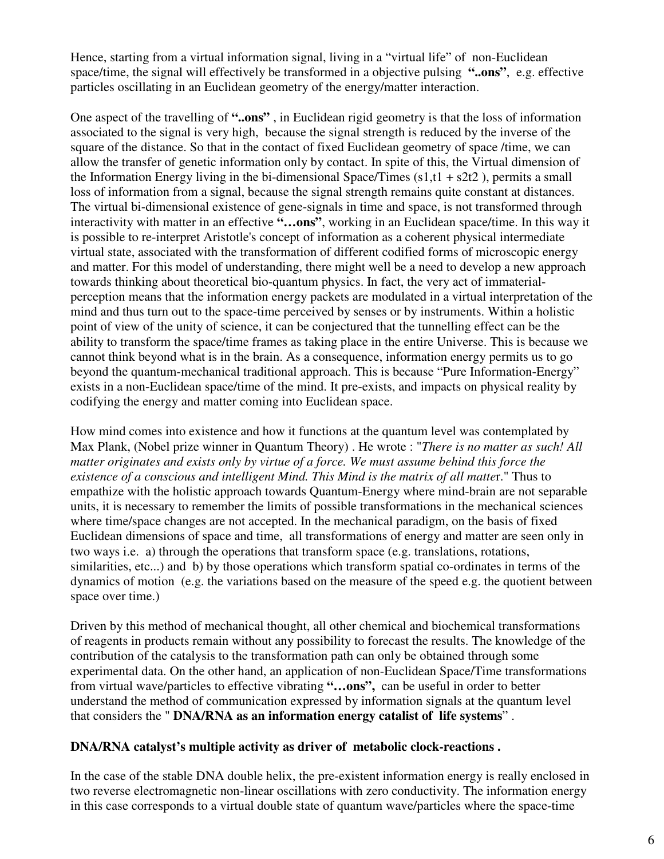Hence, starting from a virtual information signal, living in a "virtual life" of non-Euclidean space/time, the signal will effectively be transformed in a objective pulsing **"..ons"**, e.g. effective particles oscillating in an Euclidean geometry of the energy/matter interaction.

One aspect of the travelling of **"..ons"** , in Euclidean rigid geometry is that the loss of information associated to the signal is very high, because the signal strength is reduced by the inverse of the square of the distance. So that in the contact of fixed Euclidean geometry of space /time, we can allow the transfer of genetic information only by contact. In spite of this, the Virtual dimension of the Information Energy living in the bi-dimensional Space/Times  $(s1,t1 + s2t2)$ , permits a small loss of information from a signal, because the signal strength remains quite constant at distances. The virtual bi-dimensional existence of gene-signals in time and space, is not transformed through interactivity with matter in an effective **"…ons"**, working in an Euclidean space/time. In this way it is possible to re-interpret Aristotle's concept of information as a coherent physical intermediate virtual state, associated with the transformation of different codified forms of microscopic energy and matter. For this model of understanding, there might well be a need to develop a new approach towards thinking about theoretical bio-quantum physics. In fact, the very act of immaterialperception means that the information energy packets are modulated in a virtual interpretation of the mind and thus turn out to the space-time perceived by senses or by instruments. Within a holistic point of view of the unity of science, it can be conjectured that the tunnelling effect can be the ability to transform the space/time frames as taking place in the entire Universe. This is because we cannot think beyond what is in the brain. As a consequence, information energy permits us to go beyond the quantum-mechanical traditional approach. This is because "Pure Information-Energy" exists in a non-Euclidean space/time of the mind. It pre-exists, and impacts on physical reality by codifying the energy and matter coming into Euclidean space.

How mind comes into existence and how it functions at the quantum level was contemplated by Max Plank, (Nobel prize winner in Quantum Theory) . He wrote : "*There is no matter as such! All matter originates and exists only by virtue of a force. We must assume behind this force the existence of a conscious and intelligent Mind. This Mind is the matrix of all matte*r." Thus to empathize with the holistic approach towards Quantum-Energy where mind-brain are not separable units, it is necessary to remember the limits of possible transformations in the mechanical sciences where time/space changes are not accepted. In the mechanical paradigm, on the basis of fixed Euclidean dimensions of space and time, all transformations of energy and matter are seen only in two ways i.e. a) through the operations that transform space (e.g. translations, rotations, similarities, etc...) and b) by those operations which transform spatial co-ordinates in terms of the dynamics of motion (e.g. the variations based on the measure of the speed e.g. the quotient between space over time.)

Driven by this method of mechanical thought, all other chemical and biochemical transformations of reagents in products remain without any possibility to forecast the results. The knowledge of the contribution of the catalysis to the transformation path can only be obtained through some experimental data. On the other hand, an application of non-Euclidean Space/Time transformations from virtual wave/particles to effective vibrating **"…ons",** can be useful in order to better understand the method of communication expressed by information signals at the quantum level that considers the " **DNA/RNA as an information energy catalist of life systems**" .

### **DNA/RNA catalyst's multiple activity as driver of metabolic clock-reactions .**

In the case of the stable DNA double helix, the pre-existent information energy is really enclosed in two reverse electromagnetic non-linear oscillations with zero conductivity. The information energy in this case corresponds to a virtual double state of quantum wave/particles where the space-time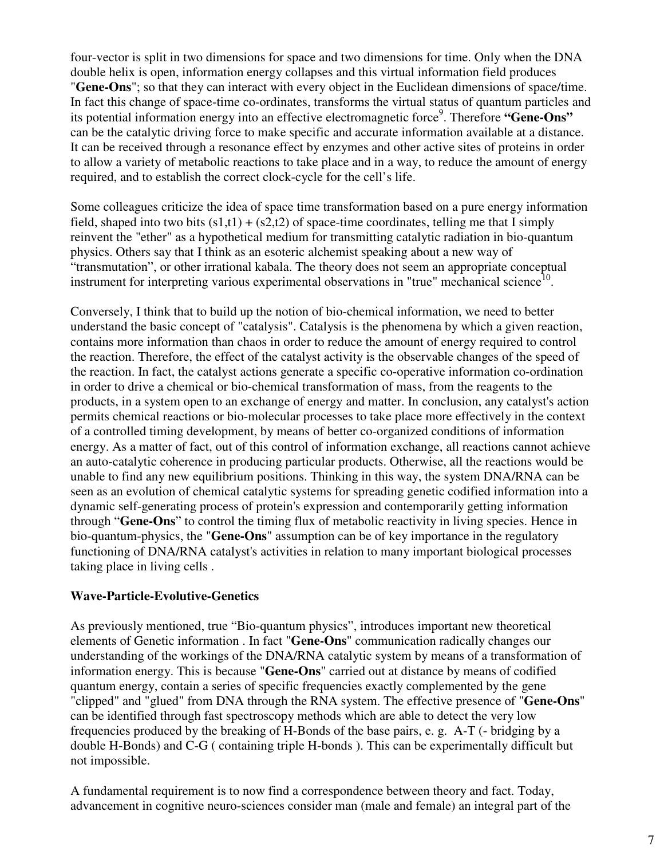four-vector is split in two dimensions for space and two dimensions for time. Only when the DNA double helix is open, information energy collapses and this virtual information field produces "**Gene-Ons**"; so that they can interact with every object in the Euclidean dimensions of space/time. In fact this change of space-time co-ordinates, transforms the virtual status of quantum particles and its potential information energy into an effective electromagnetic force<sup>9</sup>. Therefore "Gene-Ons" can be the catalytic driving force to make specific and accurate information available at a distance. It can be received through a resonance effect by enzymes and other active sites of proteins in order to allow a variety of metabolic reactions to take place and in a way, to reduce the amount of energy required, and to establish the correct clock-cycle for the cell's life.

Some colleagues criticize the idea of space time transformation based on a pure energy information field, shaped into two bits  $(s1,t1) + (s2,t2)$  of space-time coordinates, telling me that I simply reinvent the "ether" as a hypothetical medium for transmitting catalytic radiation in bio-quantum physics. Others say that I think as an esoteric alchemist speaking about a new way of "transmutation", or other irrational kabala. The theory does not seem an appropriate conceptual instrument for interpreting various experimental observations in "true" mechanical science<sup>10</sup>.

Conversely, I think that to build up the notion of bio-chemical information, we need to better understand the basic concept of "catalysis". Catalysis is the phenomena by which a given reaction, contains more information than chaos in order to reduce the amount of energy required to control the reaction. Therefore, the effect of the catalyst activity is the observable changes of the speed of the reaction. In fact, the catalyst actions generate a specific co-operative information co-ordination in order to drive a chemical or bio-chemical transformation of mass, from the reagents to the products, in a system open to an exchange of energy and matter. In conclusion, any catalyst's action permits chemical reactions or bio-molecular processes to take place more effectively in the context of a controlled timing development, by means of better co-organized conditions of information energy. As a matter of fact, out of this control of information exchange, all reactions cannot achieve an auto-catalytic coherence in producing particular products. Otherwise, all the reactions would be unable to find any new equilibrium positions. Thinking in this way, the system DNA/RNA can be seen as an evolution of chemical catalytic systems for spreading genetic codified information into a dynamic self-generating process of protein's expression and contemporarily getting information through "**Gene-Ons**" to control the timing flux of metabolic reactivity in living species. Hence in bio-quantum-physics, the "**Gene-Ons**" assumption can be of key importance in the regulatory functioning of DNA/RNA catalyst's activities in relation to many important biological processes taking place in living cells .

### **Wave-Particle-Evolutive-Genetics**

As previously mentioned, true "Bio-quantum physics", introduces important new theoretical elements of Genetic information . In fact "**Gene-Ons**" communication radically changes our understanding of the workings of the DNA/RNA catalytic system by means of a transformation of information energy. This is because "**Gene-Ons**" carried out at distance by means of codified quantum energy, contain a series of specific frequencies exactly complemented by the gene "clipped" and "glued" from DNA through the RNA system. The effective presence of "**Gene-Ons**" can be identified through fast spectroscopy methods which are able to detect the very low frequencies produced by the breaking of H-Bonds of the base pairs, e. g. A-T (- bridging by a double H-Bonds) and C-G ( containing triple H-bonds ). This can be experimentally difficult but not impossible.

A fundamental requirement is to now find a correspondence between theory and fact. Today, advancement in cognitive neuro-sciences consider man (male and female) an integral part of the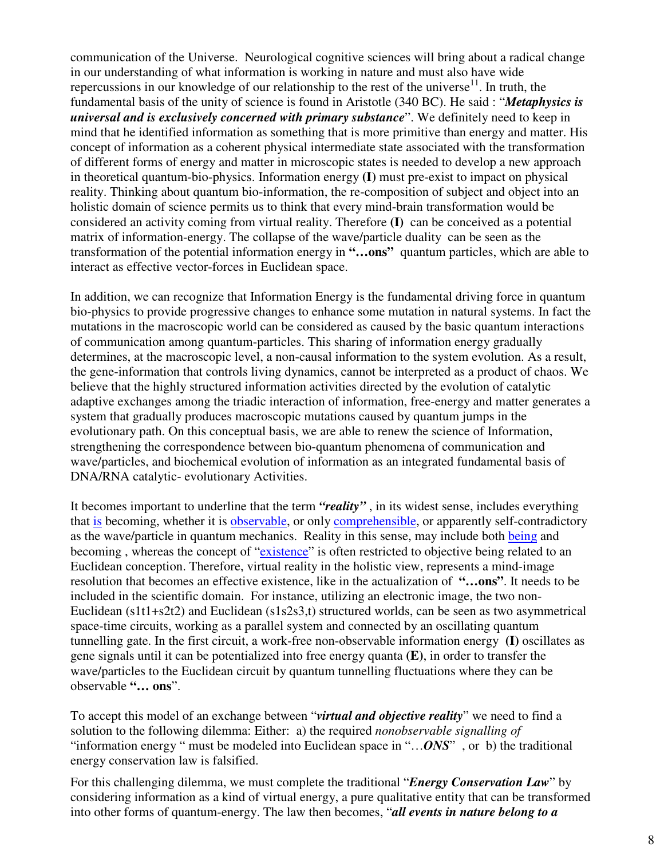communication of the Universe. Neurological cognitive sciences will bring about a radical change in our understanding of what information is working in nature and must also have wide repercussions in our knowledge of our relationship to the rest of the universe<sup>11</sup>. In truth, the fundamental basis of the unity of science is found in Aristotle (340 BC). He said : "*Metaphysics is universal and is exclusively concerned with primary substance*". We definitely need to keep in mind that he identified information as something that is more primitive than energy and matter. His concept of information as a coherent physical intermediate state associated with the transformation of different forms of energy and matter in microscopic states is needed to develop a new approach in theoretical quantum-bio-physics. Information energy **(I)** must pre-exist to impact on physical reality. Thinking about quantum bio-information, the re-composition of subject and object into an holistic domain of science permits us to think that every mind-brain transformation would be considered an activity coming from virtual reality. Therefore **(I)** can be conceived as a potential matrix of information-energy. The collapse of the wave/particle duality can be seen as the transformation of the potential information energy in **"…ons"** quantum particles, which are able to interact as effective vector-forces in Euclidean space.

In addition, we can recognize that Information Energy is the fundamental driving force in quantum bio-physics to provide progressive changes to enhance some mutation in natural systems. In fact the mutations in the macroscopic world can be considered as caused by the basic quantum interactions of communication among quantum-particles. This sharing of information energy gradually determines, at the macroscopic level, a non-causal information to the system evolution. As a result, the gene-information that controls living dynamics, cannot be interpreted as a product of chaos. We believe that the highly structured information activities directed by the evolution of catalytic adaptive exchanges among the triadic interaction of information, free-energy and matter generates a system that gradually produces macroscopic mutations caused by quantum jumps in the evolutionary path. On this conceptual basis, we are able to renew the science of Information, strengthening the correspondence between bio-quantum phenomena of communication and wave/particles, and biochemical evolution of information as an integrated fundamental basis of DNA/RNA catalytic- evolutionary Activities.

It becomes important to underline that the term *"reality"* , in its widest sense, includes everything that is becoming, whether it is **observable**, or only **comprehensible**, or apparently self-contradictory as the wave/particle in quantum mechanics. Reality in this sense, may include both being and becoming, whereas the concept of "existence" is often restricted to objective being related to an Euclidean conception. Therefore, virtual reality in the holistic view, represents a mind-image resolution that becomes an effective existence, like in the actualization of **"…ons"**. It needs to be included in the scientific domain. For instance, utilizing an electronic image, the two non-Euclidean (s1t1+s2t2) and Euclidean (s1s2s3,t) structured worlds, can be seen as two asymmetrical space-time circuits, working as a parallel system and connected by an oscillating quantum tunnelling gate. In the first circuit, a work-free non-observable information energy **(I)** oscillates as gene signals until it can be potentialized into free energy quanta **(E)**, in order to transfer the wave/particles to the Euclidean circuit by quantum tunnelling fluctuations where they can be observable **"… ons**".

To accept this model of an exchange between "*virtual and objective reality*" we need to find a solution to the following dilemma: Either: a) the required *nonobservable signalling of* "information energy " must be modeled into Euclidean space in "…*ONS*" , or b) the traditional energy conservation law is falsified.

For this challenging dilemma, we must complete the traditional "*Energy Conservation Law*" by considering information as a kind of virtual energy, a pure qualitative entity that can be transformed into other forms of quantum-energy. The law then becomes, "*all events in nature belong to a*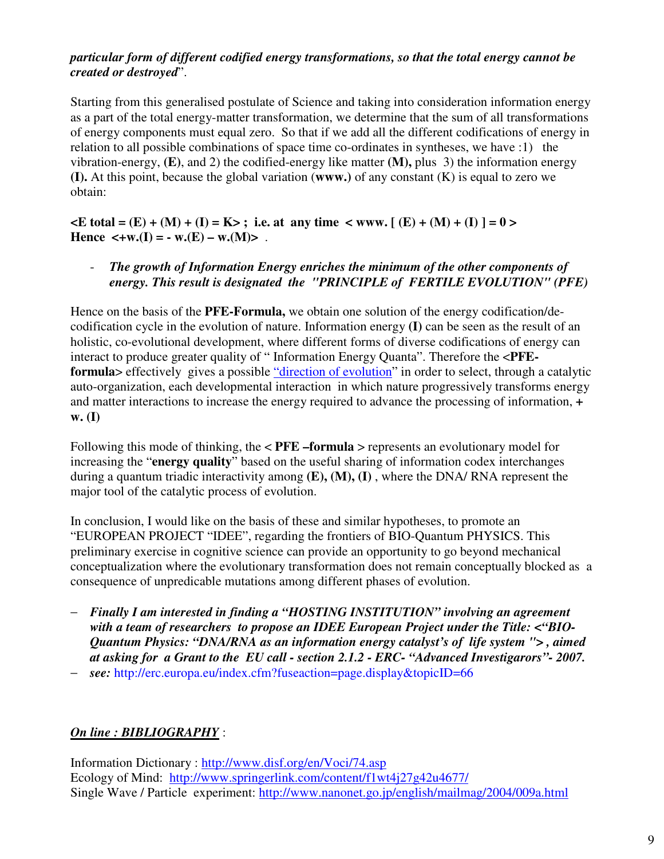### *particular form of different codified energy transformations, so that the total energy cannot be created or destroyed*".

Starting from this generalised postulate of Science and taking into consideration information energy as a part of the total energy-matter transformation, we determine that the sum of all transformations of energy components must equal zero. So that if we add all the different codifications of energy in relation to all possible combinations of space time co-ordinates in syntheses, we have :1) the vibration-energy, **(E)**, and 2) the codified-energy like matter **(M),** plus 3) the information energy **(I).** At this point, because the global variation (**www.)** of any constant (K) is equal to zero we obtain:

 $\angle E$  total = (E) + (M) + (I) = K>; i.e. at any time  $\angle$  www.  $[(E) + (M) + (I)] = 0$  > Hence  $\lt$ +w.(I) = - w.(E) – w.(M)>.

### - *The growth of Information Energy enriches the minimum of the other components of energy. This result is designated the "PRINCIPLE of FERTILE EVOLUTION" (PFE)*

Hence on the basis of the **PFE-Formula,** we obtain one solution of the energy codification/decodification cycle in the evolution of nature. Information energy **(I)** can be seen as the result of an holistic, co-evolutional development, where different forms of diverse codifications of energy can interact to produce greater quality of " Information Energy Quanta". Therefore the <**PFEformula** > effectively gives a possible "direction of evolution" in order to select, through a catalytic auto-organization, each developmental interaction in which nature progressively transforms energy and matter interactions to increase the energy required to advance the processing of information, **+ w. (I)**

Following this mode of thinking, the < **PFE –formula** > represents an evolutionary model for increasing the "**energy quality**" based on the useful sharing of information codex interchanges during a quantum triadic interactivity among **(E), (M), (I)** , where the DNA/ RNA represent the major tool of the catalytic process of evolution.

In conclusion, I would like on the basis of these and similar hypotheses, to promote an "EUROPEAN PROJECT "IDEE", regarding the frontiers of BIO-Quantum PHYSICS. This preliminary exercise in cognitive science can provide an opportunity to go beyond mechanical conceptualization where the evolutionary transformation does not remain conceptually blocked as a consequence of unpredicable mutations among different phases of evolution.

- − *Finally I am interested in finding a "HOSTING INSTITUTION" involving an agreement with a team of researchers to propose an IDEE European Project under the Title: <"BIO-Quantum Physics: "DNA/RNA as an information energy catalyst's of life system "> , aimed at asking for a Grant to the EU call - section 2.1.2 - ERC- "Advanced Investigarors"- 2007.*
- − *see:* http://erc.europa.eu/index.cfm?fuseaction=page.display&topicID=66

## *On line : BIBLIOGRAPHY* :

Information Dictionary : http://www.disf.org/en/Voci/74.asp Ecology of Mind: http://www.springerlink.com/content/f1wt4j27g42u4677/ Single Wave / Particle experiment: http://www.nanonet.go.jp/english/mailmag/2004/009a.html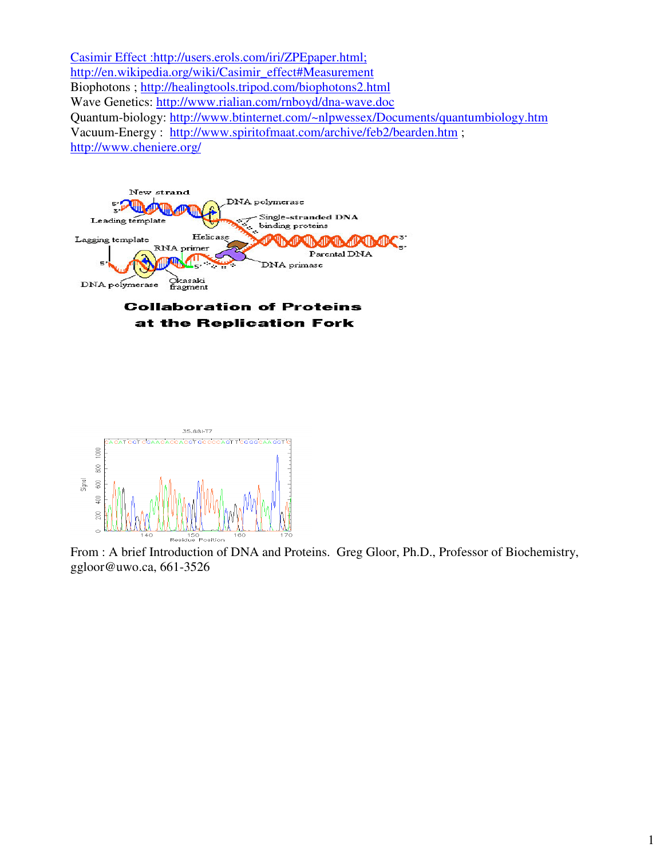Casimir Effect :http://users.erols.com/iri/ZPEpaper.html; http://en.wikipedia.org/wiki/Casimir\_effect#Measurement Biophotons ; http://healingtools.tripod.com/biophotons2.html Wave Genetics: http://www.rialian.com/rnboyd/dna-wave.doc Quantum-biology: http://www.btinternet.com/~nlpwessex/Documents/quantumbiology.htm Vacuum-Energy : http://www.spiritofmaat.com/archive/feb2/bearden.htm ; http://www.cheniere.org/



### **Collaboration of Proteins** at the Replication Fork



From : A brief Introduction of DNA and Proteins. Greg Gloor, Ph.D., Professor of Biochemistry, ggloor@uwo.ca, 661-3526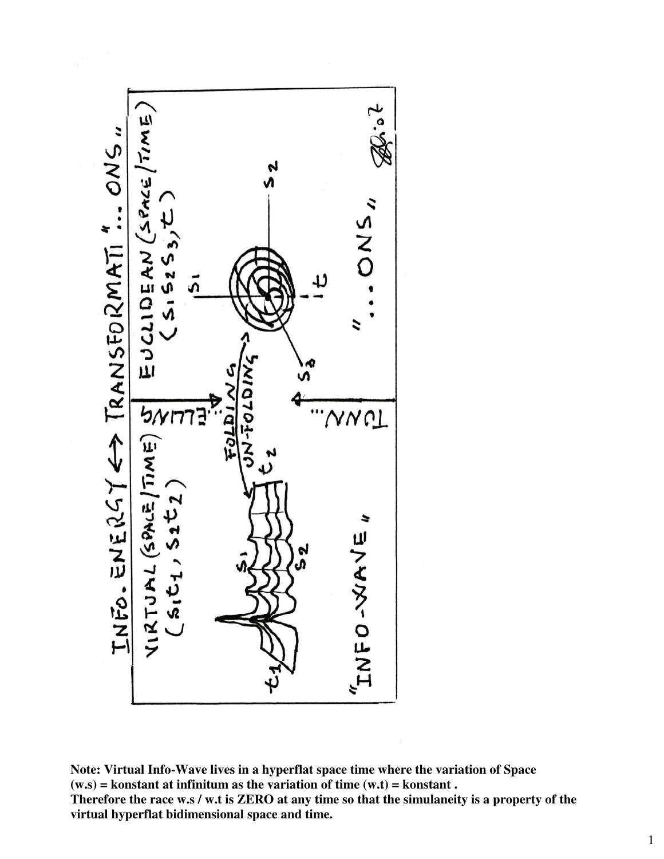

**Note: Virtual Info-Wave lives in a hyperflat space time where the variation of Space (w.s) = konstant at infinitum as the variation of time (w.t) = konstant . Therefore the race w.s / w.t is ZERO at any time so that the simulaneity is a property of the virtual hyperflat bidimensional space and time.**